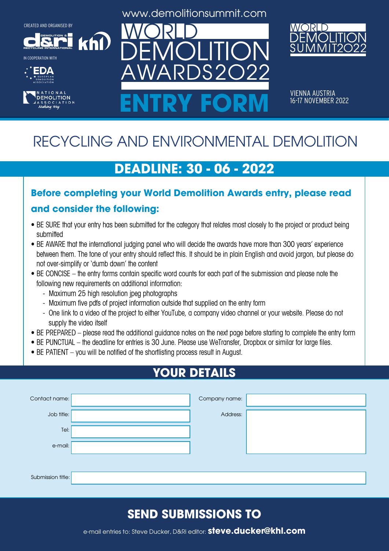**DEMOLITION &**

**RECYCLING INTERNATIONAL** IN COOPERATION WITH





www.demolitionsummit.com



VIENNA AUSTRIA<br>16-17 NOVEMBER 2022 ENTRY FORM **16-17 NOVEMBER 2022** 

# RECYCLING AND ENVIRONMENTAL DEMOLITION

### **DEADLINE: 30 - 06 - 2022**

# **Before completing your World Demolition Awards entry, please read**

#### **and consider the following:**

khl

- BE SURE that your entry has been submitted for the category that relates most closely to the project or product being submitted
- BE AWARE that the international judging panel who will decide the awards have more than 300 years' experience between them. The tone of your entry should reflect this. It should be in plain English and avoid jargon, but please do not over-simplify or 'dumb down' the content
- BE CONCISE the entry forms contain specific word counts for each part of the submission and please note the following new requirements on additional information:
	- Maximum 25 high resolution jpeg photographs
	- Maximum five pdfs of project information outside that supplied on the entry form
	- One link to a video of the project to either YouTube, a company video channel or your website. Please do not supply the video itself
- BE PREPARED please read the additional guidance notes on the next page before starting to complete the entry form
- BE PUNCTUAL the deadline for entries is 30 June. Please use WeTransfer, Dropbox or similar for large files.
- BE PATIENT you will be notified of the shortlisting process result in August.

## **YOUR DETAILS**

| Contact name:     | Company name: |  |
|-------------------|---------------|--|
| Job title:        | Address:      |  |
| Tel:              |               |  |
| e-mail:           |               |  |
|                   |               |  |
| Submission title: |               |  |

### **SEND SUBMISSIONS TO**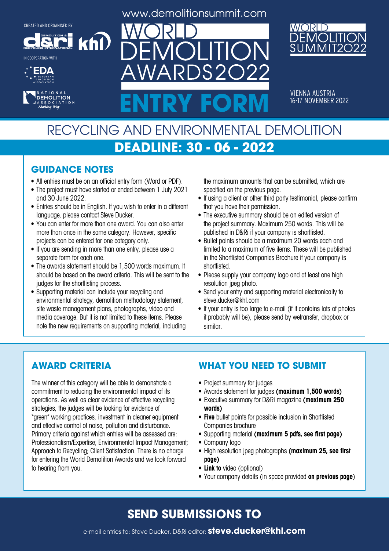**DEMOLITION &**

**khl** 

**RECYCLING INTERNATIONAL** IN COOPERATION WITH





www.demolitionsummit.com

 $S2$ 



VIENNA AUSTRIA<br>16-17 NOVEMBER 2022 ENTRY FORM **16-17 NOVEMBER 2022** 

### RECYCLING AND ENVIRONMENTAL DEMOLITION **DEADLINE: 30 - 06 - 2022**

#### **GUIDANCE NOTES**

- All entries must be on an official entry form (Word or PDF).
- The project must have started or ended between 1 July 2021 and 30 June 2022.
- Entries should be in English. If you wish to enter in a different language, please contact Steve Ducker.
- You can enter for more than one award. You can also enter more than once in the same category. However, specific projects can be entered for one category only.
- If you are sending in more than one entry, please use a separate form for each one.
- The awards statement should be 1,500 words maximum. It should be based on the award criteria. This will be sent to the judges for the shortlisting process.
- Supporting material can include your recycling and environmental strategy, demolition methodology statement, site waste management plans, photographs, video and media coverage. But it is not limited to these items. Please note the new requirements on supporting material, including

the maximum amounts that can be submitted, which are specified on the previous page.

- If using a client or other third party testimonial, please confirm that you have their permission.
- The executive summary should be an edited version of the project summary. Maximum 250 words. This will be published in D&Ri if your company is shortlisted.
- Bullet points should be a maximum 20 words each and limited to a maximum of five items. These will be published in the Shortlisted Companies Brochure if your company is shortlisted.
- Please supply your company logo and at least one high resolution jpeg photo.
- Send your entry and supporting material electronically to steve.ducker@khl.com
- If your entry is too large to e-mail (if it contains lots of photos it probably will be), please send by wetransfer, dropbox or similar.

#### **AWARD CRITERIA**

The winner of this category will be able to demonstrate a commitment to reducing the environmental impact of its operations. As well as clear evidence of effective recycling strategies, the judges will be looking for evidence of "green" working practices, investment in cleaner equipment and effective control of noise, pollution and disturbance. Primary criteria against which entries will be assessed are: Professionalism/Expertise; Environmental Impact Management; Approach to Recycling; Client Satisfaction. There is no charge for entering the World Demolition Awards and we look forward to hearing from you.

#### **WHAT YOU NEED TO SUBMIT**

- Project summary for judges
- • Awards statement for judges **(maximum 1,500 words)**
- • Executive summary for D&Ri magazine **(maximum 250 words)**
- **• Five** bullet points for possible inclusion in Shortlisted Companies brochure
- • Supporting material **(maximum 5 pdfs, see first page)**
- Company logo
- • High resolution jpeg photographs **(maximum 25, see first page)**
- **• Link to** video (optional)
- • Your company details (in space provided **on previous page**)

#### **SEND SUBMISSIONS TO**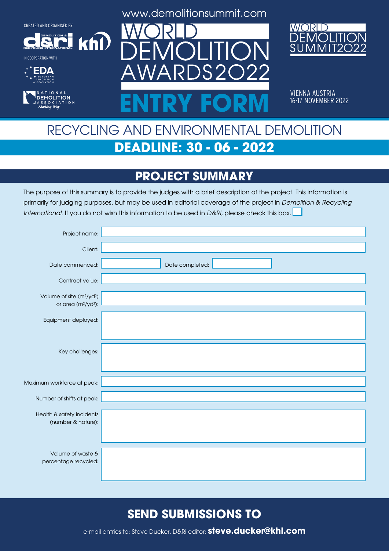**DEMOLITION &**

 $k$ h $\Omega$ 

**RECYCLING INTERNATIONAL**







www.demolitionsummit.com



VIENNA AUSTRIA<br>16-17 NOVEMBER 2022 ENTRY FORM **16-17 NOVEMBER 2022** 

## RECYCLING AND ENVIRONMENTAL DEMOLITION **DEADLINE: 30 - 06 - 2022**

### **PROJECT SUMMARY**

The purpose of this summary is to provide the judges with a brief description of the project. This information is primarily for judging purposes, but may be used in editorial coverage of the project in Demolition & Recycling International. If you do not wish this information to be used in D&Ri, please check this box.

| Project name:                                                               |                 |
|-----------------------------------------------------------------------------|-----------------|
| Client:                                                                     |                 |
| Date commenced:                                                             | Date completed: |
| Contract value:                                                             |                 |
| Volume of site (m <sup>3</sup> /yd <sup>3</sup> )<br>or area $(m^2/yd^2)$ : |                 |
| Equipment deployed:                                                         |                 |
|                                                                             |                 |
| Key challenges:                                                             |                 |
|                                                                             |                 |
| Maximum workforce at peak:                                                  |                 |
| Number of shifts at peak:                                                   |                 |
| Health & safety incidents                                                   |                 |
| (number & nature):                                                          |                 |
|                                                                             |                 |
| Volume of waste &<br>percentage recycled:                                   |                 |
|                                                                             |                 |

#### **SEND SUBMISSIONS TO**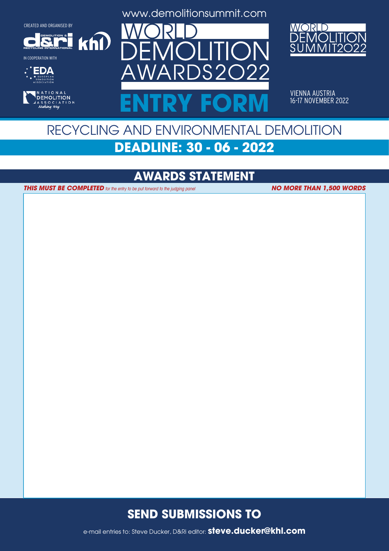**DEMOLITION &**

 $k$ h $\Omega$ 

**RECYCLING INTERNATIONAL**











VIENNA AUSTRIA<br>16-17 NOVEMBER 2022 ENTRY FORM **16-17 NOVEMBER 2022** 

## RECYCLING AND ENVIRONMENTAL DEMOLITION **DEADLINE: 30 - 06 - 2022**

#### **AWARDS STATEMENT**

**THIS MUST BE COMPLETED** for the entry to be put forward to the judging panel

**NO MORE THAN 1,500 WORDS**

#### **SEND SUBMISSIONS TO**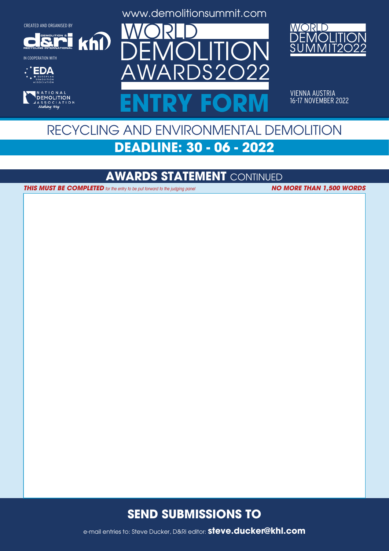**DEMOLITION &**

 $k$ h $\Omega$ 

**RECYCLING INTERNATIONAL**







www.demolitionsummit.com



VIENNA AUSTRIA<br>16-17 NOVEMBER 2022 ENTRY FORM **16-17 NOVEMBER 2022** 

## RECYCLING AND ENVIRONMENTAL DEMOLITION **DEADLINE: 30 - 06 - 2022**

#### **AWARDS STATEMENT** CONTINUED

**THIS MUST BE COMPLETED** for the entry to be put forward to the judging panel **NO MORE THAN 1,500 WORDS** 

#### **SEND SUBMISSIONS TO**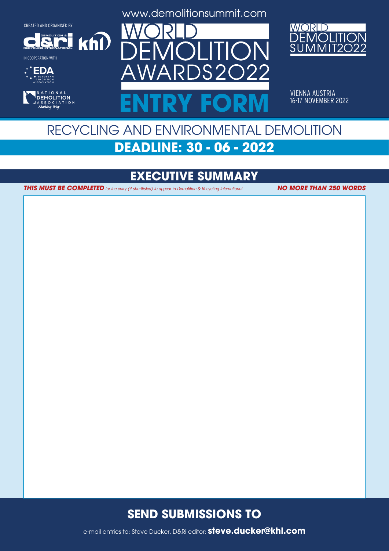**DEMOLITION &**

 $k$ h $\Omega$ 

**RECYCLING INTERNATIONAL**

IN COOPERATION WITH





www.demolitionsummit.com



VIENNA AUSTRIA<br>16-17 NOVEMBER 2022 ENTRY FORM **16-17 NOVEMBER 2022** 

## RECYCLING AND ENVIRONMENTAL DEMOLITION **DEADLINE: 30 - 06 - 2022**

### **EXECUTIVE SUMMARY**

**THIS MUST BE COMPLETED** for the entry (if shortlisted) to appear in Demolition & Recycling International **NO MORE THAN 250 WORDS** 

#### **SEND SUBMISSIONS TO**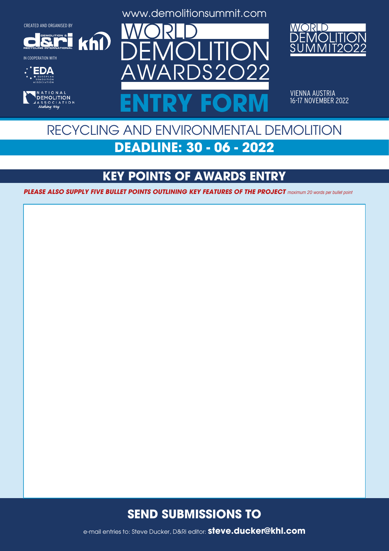**DEMOLITION &**

 $k$ h $\Omega$ 

**RECYCLING INTERNATIONAL**











VIENNA AUSTRIA<br>16-17 NOVEMBER 2022 ENTRY FORM **16-17 NOVEMBER 2022** 

### RECYCLING AND ENVIRONMENTAL DEMOLITION **DEADLINE: 30 - 06 - 2022**

### **KEY POINTS OF AWARDS ENTRY**

**PLEASE ALSO SUPPLY FIVE BULLET POINTS OUTLINING KEY FEATURES OF THE PROJECT** maximum 20 words per bullet point

#### **SEND SUBMISSIONS TO**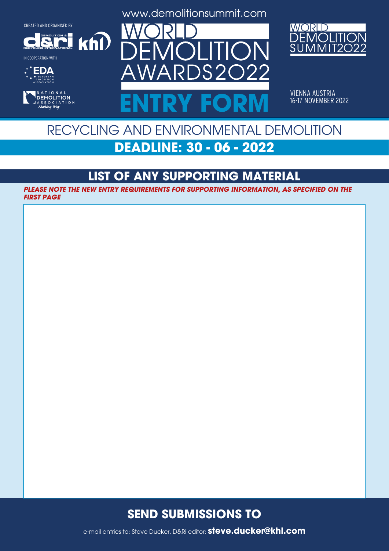**DEMOLITION &**

 $k$ h $\Omega$ 

**RECYCLING INTERNATIONAL**

IN COOPERATION WITH





www.demolitionsummit.com



VIENNA AUSTRIA<br>16-17 NOVEMBER 2022 ENTRY FORM **16-17 NOVEMBER 2022** 

### RECYCLING AND ENVIRONMENTAL DEMOLITION **DEADLINE: 30 - 06 - 2022**

### **LIST OF ANY SUPPORTING MATERIAL**

**PLEASE NOTE THE NEW ENTRY REQUIREMENTS FOR SUPPORTING INFORMATION, AS SPECIFIED ON THE FIRST PAGE**

#### **SEND SUBMISSIONS TO**